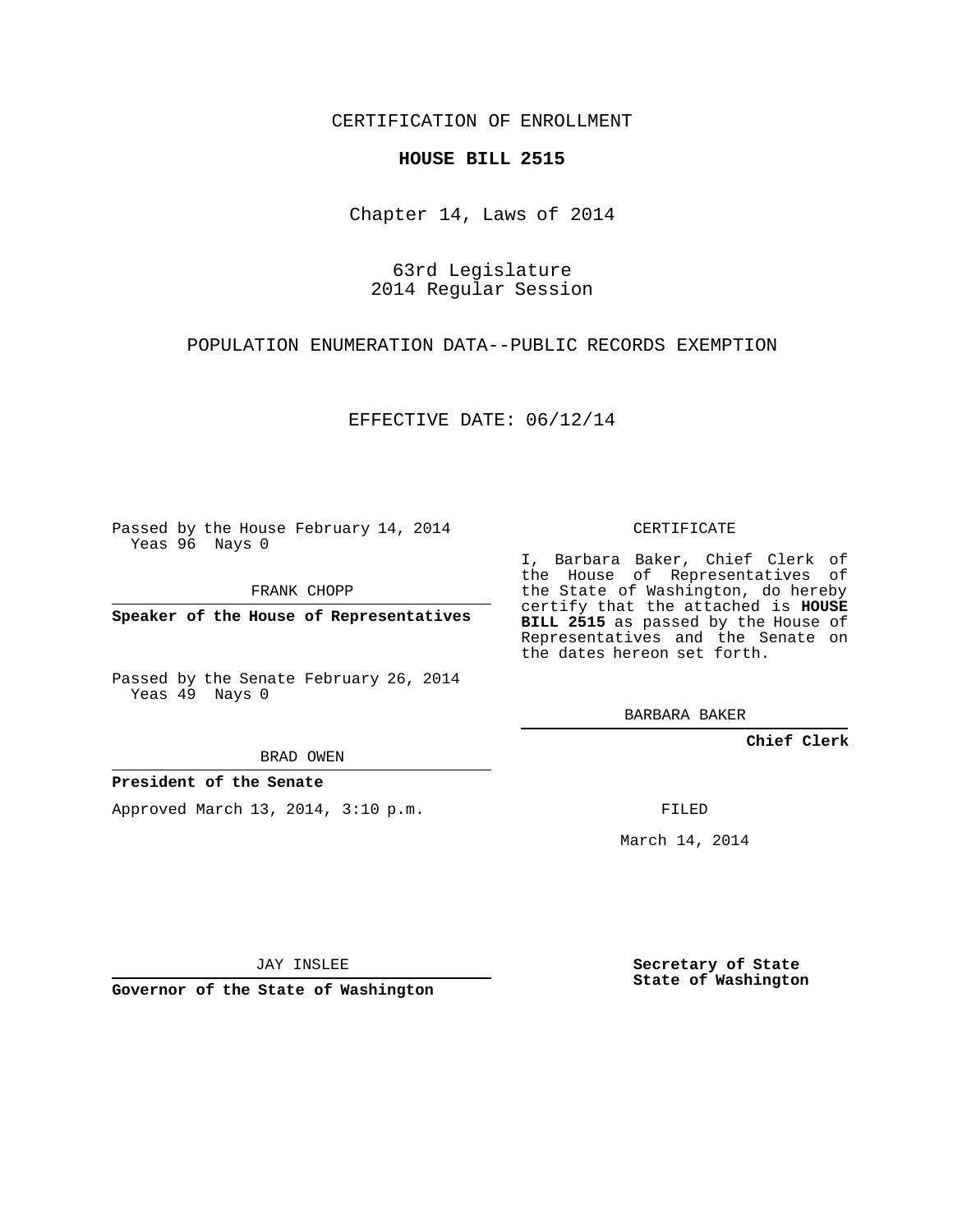CERTIFICATION OF ENROLLMENT

## **HOUSE BILL 2515**

Chapter 14, Laws of 2014

63rd Legislature 2014 Regular Session

POPULATION ENUMERATION DATA--PUBLIC RECORDS EXEMPTION

EFFECTIVE DATE: 06/12/14

Passed by the House February 14, 2014 Yeas 96 Nays 0

FRANK CHOPP

**Speaker of the House of Representatives**

Passed by the Senate February 26, 2014 Yeas 49 Nays 0

BRAD OWEN

## **President of the Senate**

Approved March 13, 2014, 3:10 p.m.

CERTIFICATE

I, Barbara Baker, Chief Clerk of the House of Representatives of the State of Washington, do hereby certify that the attached is **HOUSE BILL 2515** as passed by the House of Representatives and the Senate on the dates hereon set forth.

BARBARA BAKER

**Chief Clerk**

FILED

March 14, 2014

JAY INSLEE

**Governor of the State of Washington**

**Secretary of State State of Washington**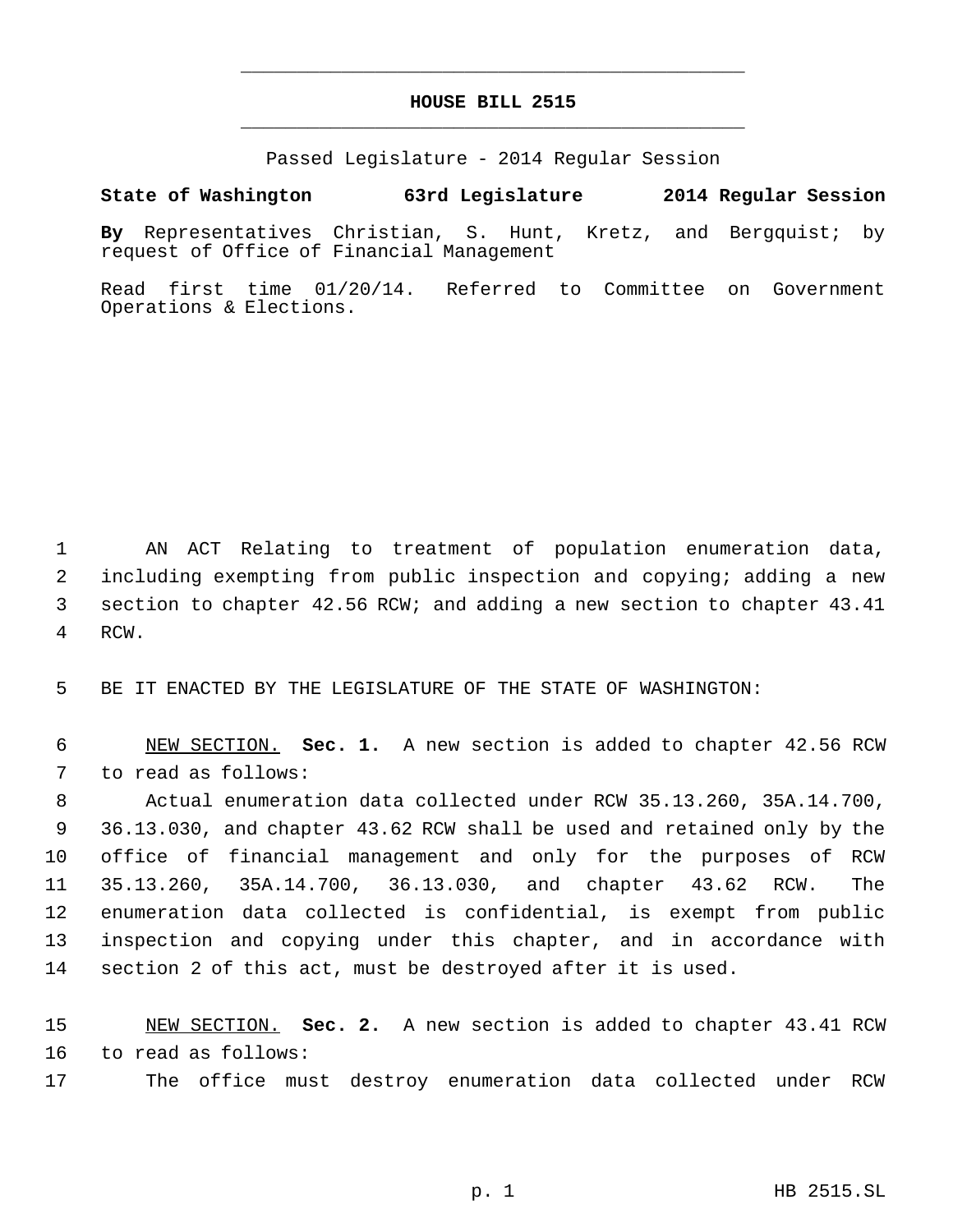## **HOUSE BILL 2515** \_\_\_\_\_\_\_\_\_\_\_\_\_\_\_\_\_\_\_\_\_\_\_\_\_\_\_\_\_\_\_\_\_\_\_\_\_\_\_\_\_\_\_\_\_

\_\_\_\_\_\_\_\_\_\_\_\_\_\_\_\_\_\_\_\_\_\_\_\_\_\_\_\_\_\_\_\_\_\_\_\_\_\_\_\_\_\_\_\_\_

Passed Legislature - 2014 Regular Session

## **State of Washington 63rd Legislature 2014 Regular Session**

**By** Representatives Christian, S. Hunt, Kretz, and Bergquist; by request of Office of Financial Management

Read first time 01/20/14. Referred to Committee on Government Operations & Elections.

 AN ACT Relating to treatment of population enumeration data, including exempting from public inspection and copying; adding a new section to chapter 42.56 RCW; and adding a new section to chapter 43.41 RCW.

BE IT ENACTED BY THE LEGISLATURE OF THE STATE OF WASHINGTON:

 NEW SECTION. **Sec. 1.** A new section is added to chapter 42.56 RCW to read as follows:

 Actual enumeration data collected under RCW 35.13.260, 35A.14.700, 36.13.030, and chapter 43.62 RCW shall be used and retained only by the office of financial management and only for the purposes of RCW 35.13.260, 35A.14.700, 36.13.030, and chapter 43.62 RCW. The enumeration data collected is confidential, is exempt from public inspection and copying under this chapter, and in accordance with section 2 of this act, must be destroyed after it is used.

 NEW SECTION. **Sec. 2.** A new section is added to chapter 43.41 RCW to read as follows:

The office must destroy enumeration data collected under RCW